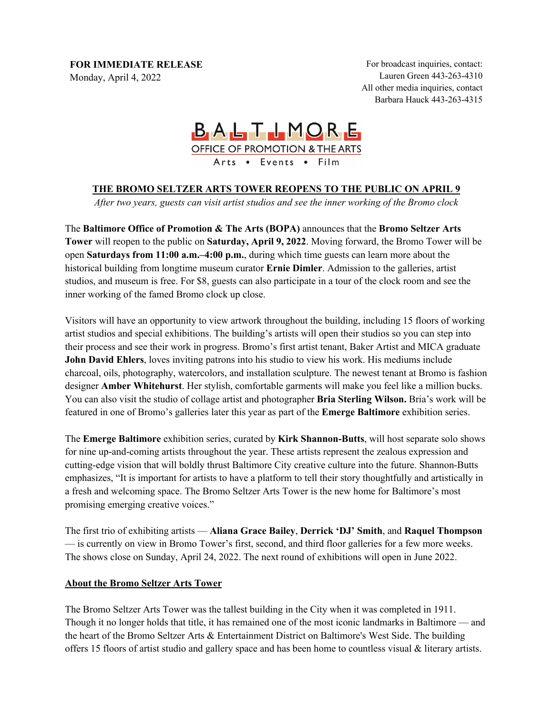**FOR IMMEDIATE RELEASE**

Monday, April 4, 2022

For broadcast inquiries, contact: Lauren Green 443-263-4310 All other media inquiries, contact Barbara Hauck 443-263-4315

## BALTIMORE OFFICE OF PROMOTION & THE ARTS Arts . Events . Film

## **THE BROMO SELTZER ARTS TOWER REOPENS TO THE PUBLIC ON APRIL 9**

*After two years, guests can visit artist studios and see the inner working of the Bromo clock*

The **Baltimore Office of Promotion & The Arts (BOPA)** announces that the **Bromo Seltzer Arts Tower** will reopen to the public on **Saturday, April 9, 2022**. Moving forward, the Bromo Tower will be open **Saturdays from 11:00 a.m.–4:00 p.m.**, during which time guests can learn more about the historical building from longtime museum curator **Ernie Dimler**. Admission to the galleries, artist studios, and museum is free. For \$8, guests can also participate in a tour of the clock room and see the inner working of the famed Bromo clock up close.

Visitors will have an opportunity to view artwork throughout the building, including 15 floors of working artist studios and special exhibitions. The building's artists will open their studios so you can step into their process and see their work in progress. Bromo's first artist tenant, Baker Artist and MICA graduate **John David Ehlers**, loves inviting patrons into his studio to view his work. His mediums include charcoal, oils, photography, watercolors, and installation sculpture. The newest tenant at Bromo is fashion designer **Amber Whitehurst**. Her stylish, comfortable garments will make you feel like a million bucks. You can also visit the studio of collage artist and photographer **Bria Sterling Wilson.** Bria's work will be featured in one of Bromo's galleries later this year as part of the **Emerge Baltimore** exhibition series.

The **Emerge Baltimore** exhibition series, curated by **Kirk Shannon-Butts**, will host separate solo shows for nine up-and-coming artists throughout the year. These artists represent the zealous expression and cutting-edge vision that will boldly thrust Baltimore City creative culture into the future. Shannon-Butts emphasizes, "It is important for artists to have a platform to tell their story thoughtfully and artistically in a fresh and welcoming space. The Bromo Seltzer Arts Tower is the new home for Baltimore's most promising emerging creative voices."

The first trio of exhibiting artists — **Aliana Grace Bailey**, **Derrick 'DJ' Smith**, and **Raquel Thompson** — is currently on view in Bromo Tower's first, second, and third floor galleries for a few more weeks. The shows close on Sunday, April 24, 2022. The next round of exhibitions will open in June 2022.

## **About the Bromo Seltzer Arts Tower**

The Bromo Seltzer Arts Tower was the tallest building in the City when it was completed in 1911. Though it no longer holds that title, it has remained one of the most iconic landmarks in Baltimore — and the heart of the Bromo Seltzer Arts & Entertainment District on Baltimore's West Side. The building offers 15 floors of artist studio and gallery space and has been home to countless visual & literary artists.